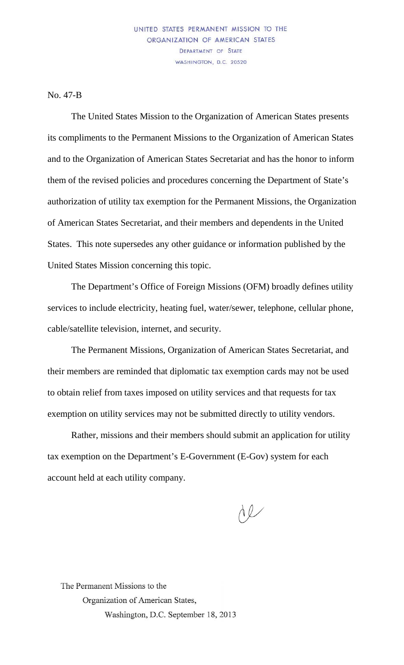No. 47-B

The United States Mission to the Organization of American States presents its compliments to the Permanent Missions to the Organization of American States and to the Organization of American States Secretariat and has the honor to inform them of the revised policies and procedures concerning the Department of State's authorization of utility tax exemption for the Permanent Missions, the Organization of American States Secretariat, and their members and dependents in the United States. This note supersedes any other guidance or information published by the United States Mission concerning this topic.

The Department's Office of Foreign Missions (OFM) broadly defines utility services to include electricity, heating fuel, water/sewer, telephone, cellular phone, cable/satellite television, internet, and security.

The Permanent Missions, Organization of American States Secretariat, and their members are reminded that diplomatic tax exemption cards may not be used to obtain relief from taxes imposed on utility services and that requests for tax exemption on utility services may not be submitted directly to utility vendors.

Rather, missions and their members should submit an application for utility tax exemption on the Department's E-Government (E-Gov) system for each account held at each utility company.

 $dQ$ 

The Permanent Missions to the Organization of American States, Washington, D.C. September 18, 2013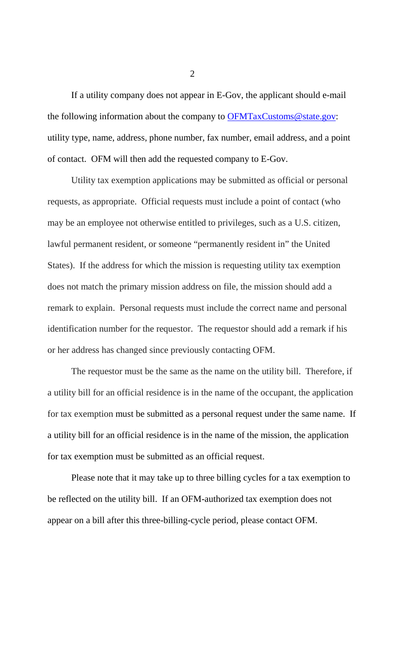If a utility company does not appear in E-Gov, the applicant should e-mail the following information about the company to [OFMTaxCustoms@state.gov:](mailto:OFMTaxCustoms@state.gov) utility type, name, address, phone number, fax number, email address, and a point of contact. OFM will then add the requested company to E-Gov.

Utility tax exemption applications may be submitted as official or personal requests, as appropriate. Official requests must include a point of contact (who may be an employee not otherwise entitled to privileges, such as a U.S. citizen, lawful permanent resident, or someone "permanently resident in" the United States). If the address for which the mission is requesting utility tax exemption does not match the primary mission address on file, the mission should add a remark to explain. Personal requests must include the correct name and personal identification number for the requestor. The requestor should add a remark if his or her address has changed since previously contacting OFM.

The requestor must be the same as the name on the utility bill. Therefore, if a utility bill for an official residence is in the name of the occupant, the application for tax exemption must be submitted as a personal request under the same name. If a utility bill for an official residence is in the name of the mission, the application for tax exemption must be submitted as an official request.

Please note that it may take up to three billing cycles for a tax exemption to be reflected on the utility bill. If an OFM-authorized tax exemption does not appear on a bill after this three-billing-cycle period, please contact OFM.

2